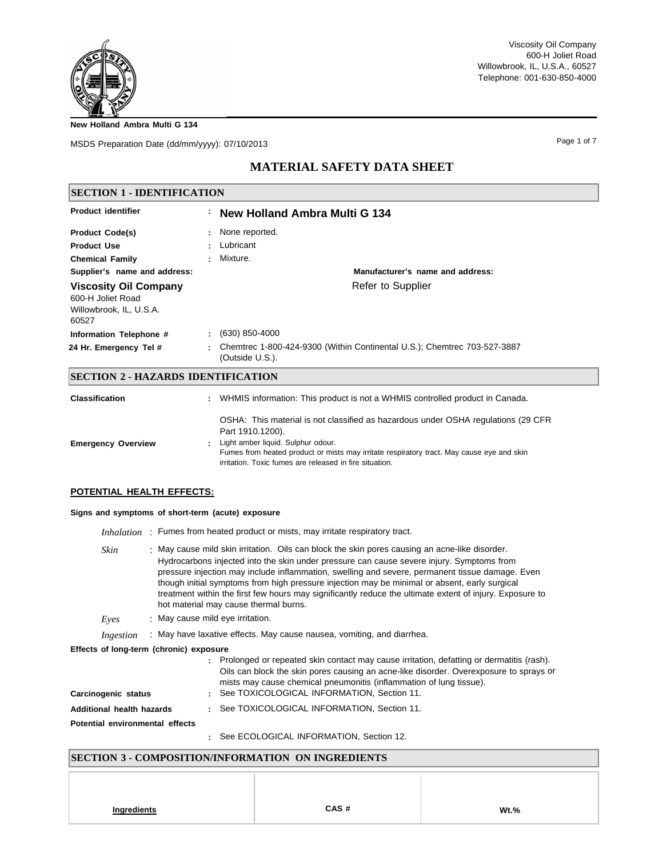**New Holland Ambra Multi G 134**

MSDS Preparation Date (dd/mm/yyyy): 07/10/2013

Page 1 of 7

# **MATERIAL SAFETY DATA SHEET**

| <b>SECTION 1 - IDENTIFICATION</b>                                                     |                |                                                                                             |
|---------------------------------------------------------------------------------------|----------------|---------------------------------------------------------------------------------------------|
| <b>Product identifier</b>                                                             |                | : New Holland Ambra Multi G 134                                                             |
| <b>Product Code(s)</b>                                                                |                | : None reported.                                                                            |
| <b>Product Use</b>                                                                    | $\blacksquare$ | Lubricant                                                                                   |
| <b>Chemical Family</b>                                                                |                | Mixture.                                                                                    |
| Supplier's name and address:                                                          |                | Manufacturer's name and address:                                                            |
| <b>Viscosity Oil Company</b><br>600-H Joliet Road<br>Willowbrook, IL, U.S.A.<br>60527 |                | Refer to Supplier                                                                           |
| Information Telephone #                                                               | ÷.             | (630) 850-4000                                                                              |
| 24 Hr. Emergency Tel #                                                                |                | Chemtrec 1-800-424-9300 (Within Continental U.S.); Chemtrec 703-527-3887<br>(Outside U.S.). |
| SECTION 2 - HAZARDS IDENTIFICATION                                                    |                |                                                                                             |
| <b>Classification</b>                                                                 |                | WHMIS information: This product is not a WHMIS controlled product in Canada.                |

| UIASSIIIUAUUII            | <b>THE READ IN THE READER IS THE VILLIAR OUTEDING PLOUGH IT OUTBOARD.</b>                                                                                                                                                                                                                           |
|---------------------------|-----------------------------------------------------------------------------------------------------------------------------------------------------------------------------------------------------------------------------------------------------------------------------------------------------|
| <b>Emergency Overview</b> | OSHA: This material is not classified as hazardous under OSHA regulations (29 CFR<br>Part 1910.1200).<br>Light amber liquid. Sulphur odour.<br>Fumes from heated product or mists may irritate respiratory tract. May cause eye and skin<br>irritation. Toxic fumes are released in fire situation. |

## **POTENTIAL HEALTH EFFECTS:**

### **Signs and symptoms of short-term (acute) exposure**

|                                 | <i>Inhalation</i> : Fumes from heated product or mists, may irritate respiratory tract.                                                                                                                                                                                                                                                                                                                                                                                                                                                              |  |  |
|---------------------------------|------------------------------------------------------------------------------------------------------------------------------------------------------------------------------------------------------------------------------------------------------------------------------------------------------------------------------------------------------------------------------------------------------------------------------------------------------------------------------------------------------------------------------------------------------|--|--|
| Skin                            | : May cause mild skin irritation. Oils can block the skin pores causing an acne-like disorder.<br>Hydrocarbons injected into the skin under pressure can cause severe injury. Symptoms from<br>pressure injection may include inflammation, swelling and severe, permanent tissue damage. Even<br>though initial symptoms from high pressure injection may be minimal or absent, early surgical<br>treatment within the first few hours may significantly reduce the ultimate extent of injury. Exposure to<br>hot material may cause thermal burns. |  |  |
| Eves                            | : May cause mild eye irritation.                                                                                                                                                                                                                                                                                                                                                                                                                                                                                                                     |  |  |
| Ingestion                       | : May have laxative effects. May cause nausea, vomiting, and diarrhea.                                                                                                                                                                                                                                                                                                                                                                                                                                                                               |  |  |
|                                 | Effects of long-term (chronic) exposure                                                                                                                                                                                                                                                                                                                                                                                                                                                                                                              |  |  |
|                                 | Prolonged or repeated skin contact may cause irritation, defatting or dermatitis (rash).<br>Oils can block the skin pores causing an acne-like disorder. Overexposure to sprays or<br>mists may cause chemical pneumonitis (inflammation of lung tissue).                                                                                                                                                                                                                                                                                            |  |  |
| Carcinogenic status             | : See TOXICOLOGICAL INFORMATION, Section 11.                                                                                                                                                                                                                                                                                                                                                                                                                                                                                                         |  |  |
| Additional health hazards       | See TOXICOLOGICAL INFORMATION, Section 11.                                                                                                                                                                                                                                                                                                                                                                                                                                                                                                           |  |  |
| Potential environmental effects |                                                                                                                                                                                                                                                                                                                                                                                                                                                                                                                                                      |  |  |
|                                 | : See ECOLOGICAL INFORMATION, Section 12.                                                                                                                                                                                                                                                                                                                                                                                                                                                                                                            |  |  |

# **SECTION 3 - COMPOSITION/INFORMATION ON INGREDIENTS**

| Ingredients | CAS# | $Wt.$ % |
|-------------|------|---------|
|             |      |         |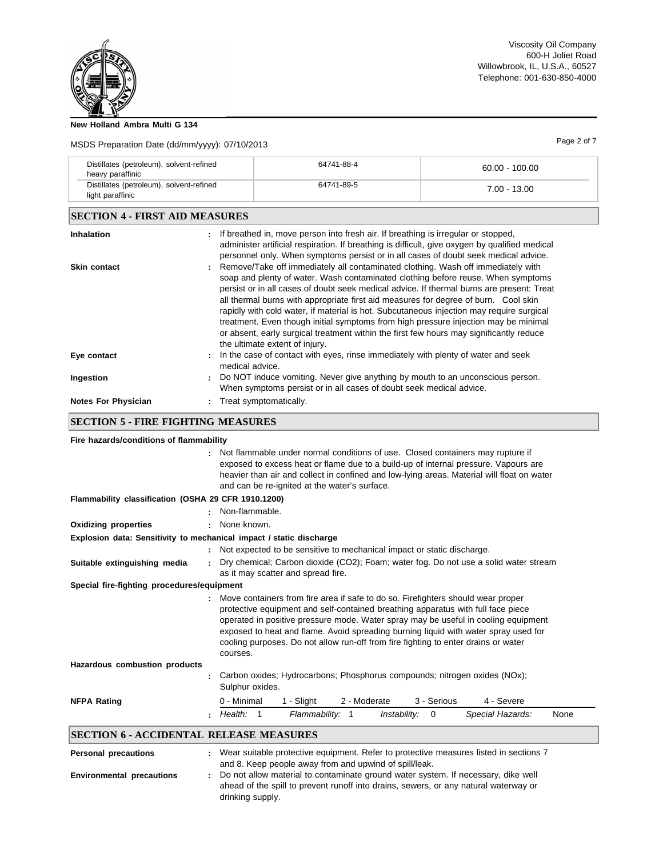

### **New Holland Ambra Multi G 134**

# MSDS Preparation Date (dd/mm/yyyy): 07/10/2013 Page 2 of 7

| Distillates (petroleum), solvent-refined<br>heavy paraffinic |                 | 64741-88-4                                                                                                                                                                                                                                                                                                                                                                                                                                                                                                                                                                                                                                                               | $60.00 - 100.00$ |  |
|--------------------------------------------------------------|-----------------|--------------------------------------------------------------------------------------------------------------------------------------------------------------------------------------------------------------------------------------------------------------------------------------------------------------------------------------------------------------------------------------------------------------------------------------------------------------------------------------------------------------------------------------------------------------------------------------------------------------------------------------------------------------------------|------------------|--|
| Distillates (petroleum), solvent-refined<br>light paraffinic |                 | 64741-89-5                                                                                                                                                                                                                                                                                                                                                                                                                                                                                                                                                                                                                                                               | $7.00 - 13.00$   |  |
| <b>SECTION 4 - FIRST AID MEASURES</b>                        |                 |                                                                                                                                                                                                                                                                                                                                                                                                                                                                                                                                                                                                                                                                          |                  |  |
| <b>Inhalation</b>                                            |                 | If breathed in, move person into fresh air. If breathing is irregular or stopped,<br>administer artificial respiration. If breathing is difficult, give oxygen by qualified medical<br>personnel only. When symptoms persist or in all cases of doubt seek medical advice.                                                                                                                                                                                                                                                                                                                                                                                               |                  |  |
| <b>Skin contact</b>                                          |                 | Remove/Take off immediately all contaminated clothing. Wash off immediately with<br>soap and plenty of water. Wash contaminated clothing before reuse. When symptoms<br>persist or in all cases of doubt seek medical advice. If thermal burns are present: Treat<br>all thermal burns with appropriate first aid measures for degree of burn. Cool skin<br>rapidly with cold water, if material is hot. Subcutaneous injection may require surgical<br>treatment. Even though initial symptoms from high pressure injection may be minimal<br>or absent, early surgical treatment within the first few hours may significantly reduce<br>the ultimate extent of injury. |                  |  |
| Eye contact                                                  | medical advice. | In the case of contact with eyes, rinse immediately with plenty of water and seek                                                                                                                                                                                                                                                                                                                                                                                                                                                                                                                                                                                        |                  |  |
| Ingestion                                                    |                 | Do NOT induce vomiting. Never give anything by mouth to an unconscious person.<br>When symptoms persist or in all cases of doubt seek medical advice.                                                                                                                                                                                                                                                                                                                                                                                                                                                                                                                    |                  |  |
| <b>Notes For Physician</b>                                   |                 | Treat symptomatically.                                                                                                                                                                                                                                                                                                                                                                                                                                                                                                                                                                                                                                                   |                  |  |

# **SECTION 5 - FIRE FIGHTING MEASURES**

| Fire hazards/conditions of flammability             |                                                                                                                                                                                                                                                                                                                                                                                                                                                     |
|-----------------------------------------------------|-----------------------------------------------------------------------------------------------------------------------------------------------------------------------------------------------------------------------------------------------------------------------------------------------------------------------------------------------------------------------------------------------------------------------------------------------------|
|                                                     | : Not flammable under normal conditions of use. Closed containers may rupture if<br>exposed to excess heat or flame due to a build-up of internal pressure. Vapours are<br>heavier than air and collect in confined and low-lying areas. Material will float on water<br>and can be re-ignited at the water's surface.                                                                                                                              |
| Flammability classification (OSHA 29 CFR 1910.1200) |                                                                                                                                                                                                                                                                                                                                                                                                                                                     |
|                                                     | Non-flammable.                                                                                                                                                                                                                                                                                                                                                                                                                                      |
| <b>Oxidizing properties</b>                         | None known.                                                                                                                                                                                                                                                                                                                                                                                                                                         |
|                                                     | Explosion data: Sensitivity to mechanical impact / static discharge                                                                                                                                                                                                                                                                                                                                                                                 |
|                                                     | Not expected to be sensitive to mechanical impact or static discharge.                                                                                                                                                                                                                                                                                                                                                                              |
| Suitable extinguishing media                        | Dry chemical; Carbon dioxide (CO2); Foam; water fog. Do not use a solid water stream<br>as it may scatter and spread fire.                                                                                                                                                                                                                                                                                                                          |
| Special fire-fighting procedures/equipment          |                                                                                                                                                                                                                                                                                                                                                                                                                                                     |
|                                                     | Move containers from fire area if safe to do so. Firefighters should wear proper<br>protective equipment and self-contained breathing apparatus with full face piece<br>operated in positive pressure mode. Water spray may be useful in cooling equipment<br>exposed to heat and flame. Avoid spreading burning liquid with water spray used for<br>cooling purposes. Do not allow run-off from fire fighting to enter drains or water<br>courses. |
| Hazardous combustion products                       |                                                                                                                                                                                                                                                                                                                                                                                                                                                     |
|                                                     | Carbon oxides; Hydrocarbons; Phosphorus compounds; nitrogen oxides (NOx);<br>Sulphur oxides.                                                                                                                                                                                                                                                                                                                                                        |
| <b>NFPA Rating</b>                                  | 4 - Severe<br>0 - Minimal<br>1 - Slight<br>2 - Moderate<br>3 - Serious                                                                                                                                                                                                                                                                                                                                                                              |
|                                                     | Health: 1<br>Flammability: 1<br>Special Hazards:<br>None<br>Instability:<br>0                                                                                                                                                                                                                                                                                                                                                                       |
| <b>SECTION 6 - ACCIDENTAL RELEASE MEASURES</b>      |                                                                                                                                                                                                                                                                                                                                                                                                                                                     |
| <b>Personal precautions</b>                         | : Wear suitable protective equipment. Refer to protective measures listed in sections 7<br>and 8. Keep people away from and upwind of spill/leak.                                                                                                                                                                                                                                                                                                   |
| <b>Environmental precautions</b>                    | Do not allow material to contaminate ground water system. If necessary, dike well                                                                                                                                                                                                                                                                                                                                                                   |

ahead of the spill to prevent runoff into drains, sewers, or any natural waterway or drinking supply.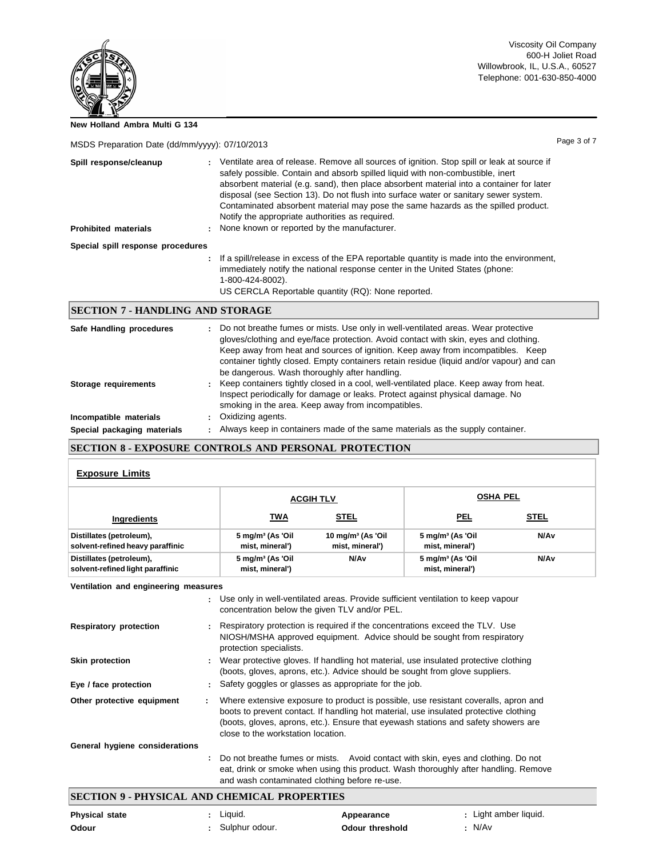**New Holland Ambra Multi G 134**

| MSDS Preparation Date (dd/mm/yyyy): 07/10/2013 | Page 3 of 7 |
|------------------------------------------------|-------------|
|------------------------------------------------|-------------|

| Spill response/cleanup<br><b>Prohibited materials</b> | $\mathbf{r}$ | Ventilate area of release. Remove all sources of ignition. Stop spill or leak at source if<br>safely possible. Contain and absorb spilled liquid with non-combustible, inert<br>absorbent material (e.g. sand), then place absorbent material into a container for later<br>disposal (see Section 13). Do not flush into surface water or sanitary sewer system.<br>Contaminated absorbent material may pose the same hazards as the spilled product.<br>Notify the appropriate authorities as required.<br>: None known or reported by the manufacturer. |
|-------------------------------------------------------|--------------|-----------------------------------------------------------------------------------------------------------------------------------------------------------------------------------------------------------------------------------------------------------------------------------------------------------------------------------------------------------------------------------------------------------------------------------------------------------------------------------------------------------------------------------------------------------|
| Special spill response procedures                     |              |                                                                                                                                                                                                                                                                                                                                                                                                                                                                                                                                                           |
|                                                       |              | If a spill/release in excess of the EPA reportable quantity is made into the environment,<br>immediately notify the national response center in the United States (phone:<br>1-800-424-8002).                                                                                                                                                                                                                                                                                                                                                             |

US CERCLA Reportable quantity (RQ): None reported.

### **SECTION 7 - HANDLING AND STORAGE**

| Safe Handling procedures    | : Do not breathe fumes or mists. Use only in well-ventilated areas. Wear protective<br>gloves/clothing and eye/face protection. Avoid contact with skin, eyes and clothing.<br>Keep away from heat and sources of ignition. Keep away from incompatibles. Keep<br>container tightly closed. Empty containers retain residue (liquid and/or vapour) and can<br>be dangerous. Wash thoroughly after handling. |
|-----------------------------|-------------------------------------------------------------------------------------------------------------------------------------------------------------------------------------------------------------------------------------------------------------------------------------------------------------------------------------------------------------------------------------------------------------|
| Storage requirements        | : Keep containers tightly closed in a cool, well-ventilated place. Keep away from heat.<br>Inspect periodically for damage or leaks. Protect against physical damage. No<br>smoking in the area. Keep away from incompatibles.                                                                                                                                                                              |
| Incompatible materials      | Oxidizing agents.                                                                                                                                                                                                                                                                                                                                                                                           |
| Special packaging materials | Always keep in containers made of the same materials as the supply container.                                                                                                                                                                                                                                                                                                                               |

### **SECTION 8 - EXPOSURE CONTROLS AND PERSONAL PROTECTION**

#### **Exposure Limits**

|                                                              |                                                                                    | <b>ACGIH TLV</b>                                                             | <b>OSHA PEL</b>                                 |                  |  |
|--------------------------------------------------------------|------------------------------------------------------------------------------------|------------------------------------------------------------------------------|-------------------------------------------------|------------------|--|
| Ingredients                                                  | TWA                                                                                | <b>STEL</b>                                                                  | <b>PEL</b>                                      | <b>STEL</b>      |  |
| Distillates (petroleum),<br>solvent-refined heavy paraffinic | 5 mg/m <sup>3</sup> (As 'Oil<br>mist, mineral')                                    | $10$ mg/m <sup>3</sup> (As 'Oil<br>mist, mineral')                           | 5 mg/m <sup>3</sup> (As 'Oil<br>mist, mineral') | N/A <sub>v</sub> |  |
| Distillates (petroleum),<br>solvent-refined light paraffinic | 5 mg/m <sup>3</sup> (As 'Oil<br>mist, mineral')                                    | N/Av                                                                         | $5 \text{ mg/m}^3$ (As 'Oil<br>mist, mineral')  | N/A <sub>v</sub> |  |
| Ventilation and engineering measures                         |                                                                                    |                                                                              |                                                 |                  |  |
|                                                              | : Use only in well-ventilated areas. Provide sufficient ventilation to keep vapour | concentration below the given TLV and/or PEL.                                |                                                 |                  |  |
| <b>Respiratory protection</b>                                |                                                                                    | Respiratory protection is required if the concentrations exceed the TLV. Use |                                                 |                  |  |

|                 | NIOSH/MSHA approved equipment. Advice should be sought from respiratory             |
|-----------------|-------------------------------------------------------------------------------------|
|                 | protection specialists.                                                             |
| Skin protection | Wear protective gloves. If handling hot material, use insulated protective clothing |
|                 | (boots, gloves, aprons, etc.). Advice should be sought from glove suppliers.        |

**Eye / face protection :** Safety goggles or glasses as appropriate for the job.

| Other protective equipment     | Where extensive exposure to product is possible, use resistant coveralls, apron and   |
|--------------------------------|---------------------------------------------------------------------------------------|
|                                | boots to prevent contact. If handling hot material, use insulated protective clothing |
|                                | (boots, gloves, aprons, etc.). Ensure that eyewash stations and safety showers are    |
|                                | close to the workstation location.                                                    |
| General hygiene considerations |                                                                                       |

## **:** Do not breathe fumes or mists. Avoid contact with skin, eyes and clothing. Do not eat, drink or smoke when using this product. Wash thoroughly after handling. Remove and wash contaminated clothing before re-use.

# **SECTION 9 - PHYSICAL AND CHEMICAL PROPERTIES**

| <b>Physical state</b> | Liquid.        | Appearance             | : Light amber liquid. |
|-----------------------|----------------|------------------------|-----------------------|
| Odour                 | Sulphur odour. | <b>Odour threshold</b> | N/Av                  |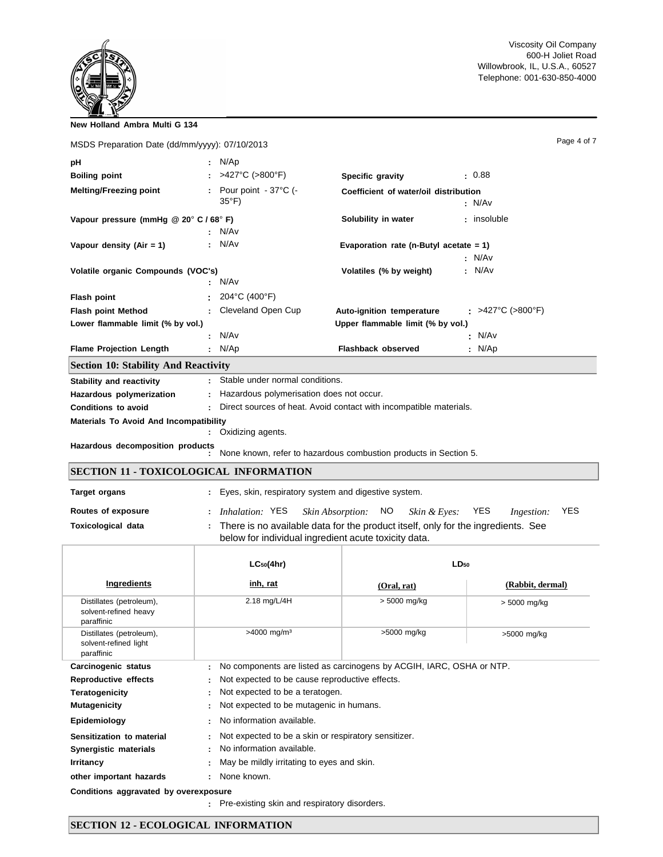| New Holland Ambra Multi G 134                  |                                                                    |                                                                                                                                          |  |                          |             |
|------------------------------------------------|--------------------------------------------------------------------|------------------------------------------------------------------------------------------------------------------------------------------|--|--------------------------|-------------|
| MSDS Preparation Date (dd/mm/yyyy): 07/10/2013 |                                                                    |                                                                                                                                          |  |                          | Page 4 of 7 |
| pH                                             | : $N/Ap$                                                           |                                                                                                                                          |  |                          |             |
| <b>Boiling point</b>                           | >427°C (>800°F)                                                    | Specific gravity                                                                                                                         |  | - 0.88                   |             |
| <b>Melting/Freezing point</b>                  | : Pour point $-37^{\circ}$ C (-<br>$35^{\circ}$ F)                 | Coefficient of water/oil distribution                                                                                                    |  | : N/Av                   |             |
| Vapour pressure (mmHg @ 20° C / 68° F)         | N/Av                                                               | Solubility in water                                                                                                                      |  | : insoluble              |             |
| Vapour density (Air = $1$ )                    | N/Av                                                               | Evaporation rate (n-Butyl acetate $= 1$ )                                                                                                |  |                          |             |
| Volatile organic Compounds (VOC's)             | N/Av                                                               | Volatiles (% by weight)                                                                                                                  |  | : N/Av<br>: N/Av         |             |
| Flash point                                    | 204°C (400°F)                                                      |                                                                                                                                          |  |                          |             |
| <b>Flash point Method</b>                      | Cleveland Open Cup                                                 | Auto-ignition temperature                                                                                                                |  | : >427°C (>800°F)        |             |
| Lower flammable limit (% by vol.)              |                                                                    | Upper flammable limit (% by vol.)                                                                                                        |  |                          |             |
|                                                | : N/Av                                                             |                                                                                                                                          |  | N/Av                     |             |
| <b>Flame Projection Length</b>                 | : $N/Ap$                                                           | Flashback observed                                                                                                                       |  | : $N/Ap$                 |             |
| <b>Section 10: Stability And Reactivity</b>    |                                                                    |                                                                                                                                          |  |                          |             |
| <b>Stability and reactivity</b>                | Stable under normal conditions.                                    |                                                                                                                                          |  |                          |             |
| Hazardous polymerization                       | Hazardous polymerisation does not occur.                           |                                                                                                                                          |  |                          |             |
| Conditions to avoid                            | Direct sources of heat. Avoid contact with incompatible materials. |                                                                                                                                          |  |                          |             |
| <b>Materials To Avoid And Incompatibility</b>  | Oxidizing agents.                                                  |                                                                                                                                          |  |                          |             |
| Hazardous decomposition products               |                                                                    | None known, refer to hazardous combustion products in Section 5.                                                                         |  |                          |             |
| <b>SECTION 11 - TOXICOLOGICAL INFORMATION</b>  |                                                                    |                                                                                                                                          |  |                          |             |
| <b>Target organs</b>                           | : Eyes, skin, respiratory system and digestive system.             |                                                                                                                                          |  |                          |             |
| Routes of exposure                             | <i>Inhalation:</i> YES                                             | Skin Absorption:<br>NO<br>Skin & Eves:                                                                                                   |  | <b>YES</b><br>Ingestion: | <b>YES</b>  |
| <b>Toxicological data</b>                      |                                                                    | There is no available data for the product itself, only for the ingredients. See<br>below for individual ingredient acute toxicity data. |  |                          |             |

|                                                                 | $LC_{50}(4hr)$                                                            | $LD_{50}$                                  |                  |  |
|-----------------------------------------------------------------|---------------------------------------------------------------------------|--------------------------------------------|------------------|--|
| Ingredients                                                     | <u>inh, rat</u>                                                           | (Oral, rat)                                | (Rabbit, dermal) |  |
| Distillates (petroleum),<br>solvent-refined heavy<br>paraffinic | 2.18 mg/L/4H                                                              | > 5000 mg/kg                               | $> 5000$ mg/kg   |  |
| Distillates (petroleum),<br>solvent-refined light<br>paraffinic | $>4000$ mg/m <sup>3</sup>                                                 | >5000 mg/kg                                | >5000 mg/kg      |  |
| Carcinogenic status                                             | No components are listed as carcinogens by ACGIH, IARC, OSHA or NTP.<br>÷ |                                            |                  |  |
| Reproductive effects                                            | Not expected to be cause reproductive effects.                            |                                            |                  |  |
| Teratogenicity                                                  | Not expected to be a teratogen.<br>$\mathcal{L}^{\mathcal{L}}$            |                                            |                  |  |
| <b>Mutagenicity</b>                                             | Not expected to be mutagenic in humans.<br>÷.                             |                                            |                  |  |
| Epidemiology                                                    | No information available.                                                 |                                            |                  |  |
| Sensitization to material                                       | Not expected to be a skin or respiratory sensitizer.                      |                                            |                  |  |
| Synergistic materials                                           | No information available.                                                 |                                            |                  |  |
| <b>Irritancy</b>                                                |                                                                           | May be mildly irritating to eyes and skin. |                  |  |
| other important hazards                                         | : None known.                                                             |                                            |                  |  |
| Conditions aggravated by overexposure                           |                                                                           |                                            |                  |  |

**:** Pre-existing skin and respiratory disorders.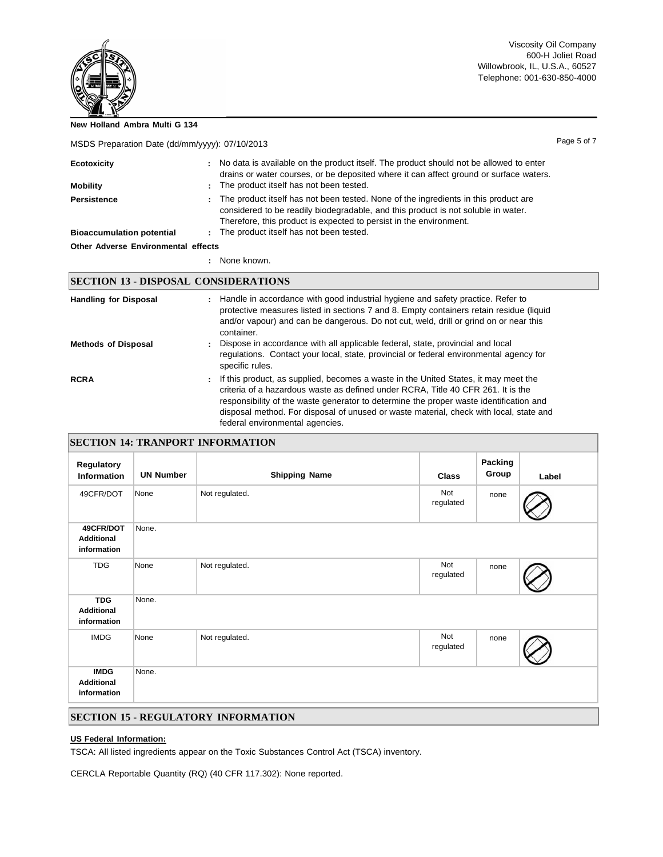Page 5 of 7

**New Holland Ambra Multi G 134**

MSDS Preparation Date (dd/mm/yyyy): 07/10/2013

| Ecotoxicity                         | : No data is available on the product itself. The product should not be allowed to enter<br>drains or water courses, or be deposited where it can affect ground or surface waters.                                                                   |
|-------------------------------------|------------------------------------------------------------------------------------------------------------------------------------------------------------------------------------------------------------------------------------------------------|
| Mobility                            | : The product itself has not been tested.                                                                                                                                                                                                            |
| Persistence                         | The product itself has not been tested. None of the ingredients in this product are<br>÷.<br>considered to be readily biodegradable, and this product is not soluble in water.<br>Therefore, this product is expected to persist in the environment. |
| <b>Bioaccumulation potential</b>    | : The product itself has not been tested.                                                                                                                                                                                                            |
| Other Adverse Environmental effects |                                                                                                                                                                                                                                                      |

**:** None known.

# **SECTION 13 - DISPOSAL CONSIDERATIONS**

| <b>Handling for Disposal</b> | : Handle in accordance with good industrial hygiene and safety practice. Refer to<br>protective measures listed in sections 7 and 8. Empty containers retain residue (liquid<br>and/or vapour) and can be dangerous. Do not cut, weld, drill or grind on or near this<br>container.                                                                                                                  |
|------------------------------|------------------------------------------------------------------------------------------------------------------------------------------------------------------------------------------------------------------------------------------------------------------------------------------------------------------------------------------------------------------------------------------------------|
| <b>Methods of Disposal</b>   | Dispose in accordance with all applicable federal, state, provincial and local<br>regulations. Contact your local, state, provincial or federal environmental agency for<br>specific rules.                                                                                                                                                                                                          |
| <b>RCRA</b>                  | If this product, as supplied, becomes a waste in the United States, it may meet the<br>÷.<br>criteria of a hazardous waste as defined under RCRA, Title 40 CFR 261. It is the<br>responsibility of the waste generator to determine the proper waste identification and<br>disposal method. For disposal of unused or waste material, check with local, state and<br>federal environmental agencies. |

|  | <b>SECTION 14: TRANPORT INFORMATION</b> |
|--|-----------------------------------------|
|  |                                         |

| Regulatory<br><b>Information</b>                | <b>UN Number</b> | <b>Shipping Name</b> | <b>Class</b>     | Packing<br>Group | Label |
|-------------------------------------------------|------------------|----------------------|------------------|------------------|-------|
| 49CFR/DOT                                       | None             | Not regulated.       | Not<br>regulated | none             |       |
| 49CFR/DOT<br><b>Additional</b><br>information   | None.            |                      |                  |                  |       |
| <b>TDG</b>                                      | None             | Not regulated.       | Not<br>regulated | none             |       |
| <b>TDG</b><br><b>Additional</b><br>information  | None.            |                      |                  |                  |       |
| <b>IMDG</b>                                     | None             | Not regulated.       | Not<br>regulated | none             |       |
| <b>IMDG</b><br><b>Additional</b><br>information | None.            |                      |                  |                  |       |

#### **SECTION 15 - REGULATORY INFORMATION**

## **US Federal Information:**

TSCA: All listed ingredients appear on the Toxic Substances Control Act (TSCA) inventory.

CERCLA Reportable Quantity (RQ) (40 CFR 117.302): None reported.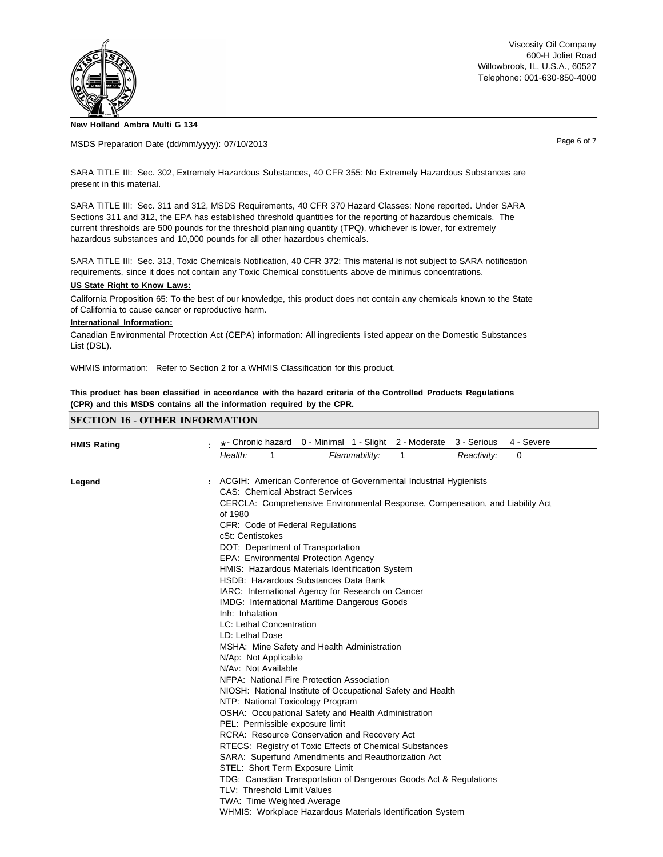

**New Holland Ambra Multi G 134**

MSDS Preparation Date (dd/mm/yyyy): 07/10/2013

Page 6 of 7

SARA TITLE III: Sec. 302, Extremely Hazardous Substances, 40 CFR 355: No Extremely Hazardous Substances are present in this material.

SARA TITLE III: Sec. 311 and 312, MSDS Requirements, 40 CFR 370 Hazard Classes: None reported. Under SARA Sections 311 and 312, the EPA has established threshold quantities for the reporting of hazardous chemicals. The current thresholds are 500 pounds for the threshold planning quantity (TPQ), whichever is lower, for extremely hazardous substances and 10,000 pounds for all other hazardous chemicals.

SARA TITLE III: Sec. 313, Toxic Chemicals Notification, 40 CFR 372: This material is not subject to SARA notification requirements, since it does not contain any Toxic Chemical constituents above de minimus concentrations.

#### **US State Right to Know Laws:**

California Proposition 65: To the best of our knowledge, this product does not contain any chemicals known to the State of California to cause cancer or reproductive harm.

#### **International Information:**

Canadian Environmental Protection Act (CEPA) information: All ingredients listed appear on the Domestic Substances List (DSL).

WHMIS information: Refer to Section 2 for a WHMIS Classification for this product.

This product has been classified in accordance with the hazard criteria of the Controlled Products Regulations **(CPR) and this MSDS contains all the information required by the CPR.**

#### **SECTION 16 - OTHER INFORMATION**